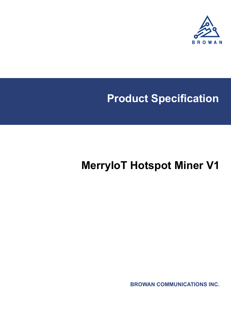

# **Product Specification**

# **MerryIoT Hotspot Miner V1**

**BROWAN COMMUNICATIONS INC.**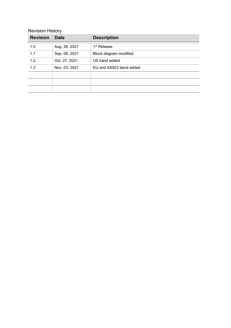#### Revision History

| <b>Revision</b>  | <b>Date</b>   | <b>Description</b>      |  |
|------------------|---------------|-------------------------|--|
| 1.0              | Aug. 26, 2021 | 1 <sup>st</sup> Release |  |
| $\overline{1.1}$ | Sep. 08, 2021 | Block diagram modified  |  |
| 1.2              | Oct. 27, 2021 | US band added           |  |
| 1.3              | Nov. 03, 2021 | EU and AS923 band added |  |
|                  |               |                         |  |
|                  |               |                         |  |
|                  |               |                         |  |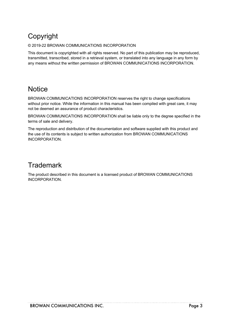# Copyright

#### © 2019-22 BROWAN COMMUNICATIONS INCORPORATION

This document is copyrighted with all rights reserved. No part of this publication may be reproduced, transmitted, transcribed, stored in a retrieval system, or translated into any language in any form by any means without the written permission of BROWAN COMMUNICATIONS INCORPORATION.

#### **Notice**

BROWAN COMMUNICATIONS INCORPORATION reserves the right to change specifications without prior notice. While the information in this manual has been compiled with great care, it may not be deemed an assurance of product characteristics.

BROWAN COMMUNICATIONS INCORPORATION shall be liable only to the degree specified in the terms of sale and delivery.

The reproduction and distribution of the documentation and software supplied with this product and the use of its contents is subject to written authorization from BROWAN COMMUNICATIONS INCORPORATION.

#### **Trademark**

The product described in this document is a licensed product of BROWAN COMMUNICATIONS INCORPORATION.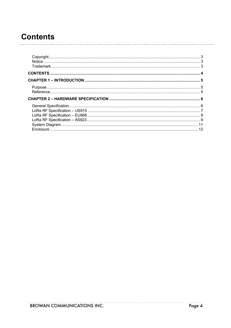# **Contents**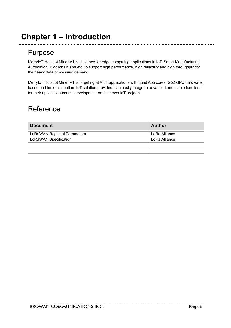## **Chapter 1 – Introduction**

#### Purpose

MerryIoT Hotspot Miner V1 is designed for edge computing applications in IoT, Smart Manufacturing, Automation, Blockchain and etc, to support high performance, high reliability and high throughput for the heavy data processing demand.

MerryIoT Hotspot Miner V1 is targeting at AIoT applications with quad A55 cores, G52 GPU hardware, based on Linux distribution. IoT solution providers can easily integrate advanced and stable functions for their application-centric development on their own IoT projects.

#### Reference

| <b>Document</b>                    | Author        |
|------------------------------------|---------------|
| <b>LoRaWAN Regional Parameters</b> | LoRa Alliance |
| LoRaWAN Specification              | LoRa Alliance |
|                                    |               |
|                                    |               |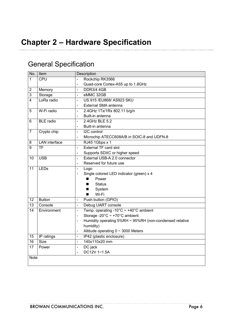### General Specification

| No.             | Item                     | Description                                                                     |  |  |  |
|-----------------|--------------------------|---------------------------------------------------------------------------------|--|--|--|
| $\mathbf{1}$    | <b>CPU</b>               | Rockchip RK3566                                                                 |  |  |  |
|                 |                          | Quad-core Cortex-A55 up to 1.8GHz                                               |  |  |  |
| $\mathbf 2$     | Memory                   | <b>DDR3/4 4GB</b><br>$\overline{a}$                                             |  |  |  |
| $\overline{3}$  | Storage                  | eMMC 32GB<br>$\overline{\phantom{a}}$                                           |  |  |  |
| $\overline{4}$  | LoRa radio               | US 915 / EU868/ AS923 SKU<br>$\overline{\phantom{a}}$                           |  |  |  |
|                 |                          | External SMA antenna                                                            |  |  |  |
| 5               | W-Fi radio               | 2.4GHz 1Tx/1Rx 802.11 b/g/n<br>$\blacksquare$                                   |  |  |  |
|                 |                          | Built-in antenna<br>$\overline{a}$                                              |  |  |  |
| 6               | <b>BLE</b> radio         | 2.4GHz BLE 5.2<br>$\overline{a}$                                                |  |  |  |
|                 |                          | Built-in antenna<br>$\qquad \qquad \blacksquare$                                |  |  |  |
| 7               | Crypto chip              | I2C control<br>$\overline{\phantom{a}}$                                         |  |  |  |
|                 |                          | Microchip ATECC608A/B in SOIC-8 and UDFN-8<br>$\qquad \qquad -$                 |  |  |  |
| 8               | <b>LAN</b> interface     | RJ45 1Gbps x 1<br>$\overline{\phantom{a}}$                                      |  |  |  |
| 9               | $\overline{\mathsf{TF}}$ | <b>External TF card slot</b><br>$\overline{a}$                                  |  |  |  |
|                 |                          | Supports SDXC or higher speed<br>$\blacksquare$                                 |  |  |  |
| $\overline{10}$ | $\overline{USB}$         | External USB-A 2.0 connector<br>$\overline{\phantom{0}}$                        |  |  |  |
|                 |                          | Reserved for future use<br>$\blacksquare$                                       |  |  |  |
| 11              | LEDs                     | Logo<br>$\qquad \qquad \blacksquare$                                            |  |  |  |
|                 |                          | Single colored LED indicator (green) x 4<br>$\overline{\phantom{a}}$            |  |  |  |
|                 |                          | Power<br>■                                                                      |  |  |  |
|                 |                          | <b>Status</b><br>■                                                              |  |  |  |
|                 |                          | System<br>■                                                                     |  |  |  |
|                 |                          | Wi-Fi<br>п                                                                      |  |  |  |
| 12              | <b>Button</b>            | Push button (GPIO)<br>$\overline{a}$                                            |  |  |  |
| 13              | Console                  | Debug UART console<br>$\overline{a}$                                            |  |  |  |
| 14              | Environment              | Temp. operating -10 $^{\circ}$ C ~ +40 $^{\circ}$ C ambient<br>$\overline{a}$   |  |  |  |
|                 |                          | Storage -20 $^{\circ}$ C ~ +70 $^{\circ}$ C ambient<br>$\overline{\phantom{a}}$ |  |  |  |
|                 |                          | Humidity operating 5%RH ~ 95%RH (non-condensed relative<br>$\overline{a}$       |  |  |  |
|                 |                          | humidity)                                                                       |  |  |  |
|                 |                          | Altitude operating $0 \sim 3000$ Meters                                         |  |  |  |
| 15              | IP ratings               | IP42 (plastic enclosure)<br>$\frac{1}{2}$                                       |  |  |  |
| $\overline{16}$ | Size                     | 140x110x20 mm<br>$\overline{a}$                                                 |  |  |  |
| 17              | Power                    | DC jack<br>$\qquad \qquad -$                                                    |  |  |  |
|                 |                          | DC12V 1~1.5A                                                                    |  |  |  |
| <b>Note</b>     |                          |                                                                                 |  |  |  |
|                 |                          |                                                                                 |  |  |  |

\_\_\_\_\_\_\_\_\_\_\_\_\_\_\_\_\_\_\_\_\_\_\_\_\_\_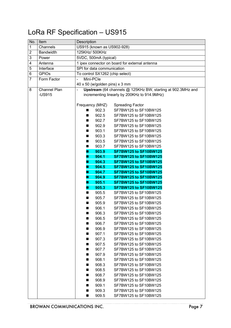# LoRa RF Specification – US915

| No.            | Item             | Description                                                                   |  |  |  |
|----------------|------------------|-------------------------------------------------------------------------------|--|--|--|
| 1              | Channels         | US915 (known as US902-928)                                                    |  |  |  |
| $\overline{2}$ | <b>Bandwidth</b> | 125KHz/ 500KHz                                                                |  |  |  |
| 3              | Power            | 5VDC, 500mA (typical)                                                         |  |  |  |
| 4              | Antenna          | 1 ipex connector on board for external antenna                                |  |  |  |
| $\overline{5}$ | Interface        | SPI for data communication                                                    |  |  |  |
| 6              | <b>GPIOs</b>     | To control SX1262 (chip select)                                               |  |  |  |
| 7              | Form Factor      | Mini-PCle<br>$\overline{\phantom{0}}$                                         |  |  |  |
|                |                  | 40 x 50 (w/golden pins) x 3 mm                                                |  |  |  |
| 8              | Channel Plan     | Upstream (64 channels @ 125KHz BW, starting at 902.3MHz and<br>$\blacksquare$ |  |  |  |
|                | $-US915$         | incrementing linearly by 200KHz to 914.9MHz)                                  |  |  |  |
|                |                  |                                                                               |  |  |  |
|                |                  | Frequency (MHZ)<br><b>Spreading Factor</b>                                    |  |  |  |
|                |                  | 902.3<br>SF7BW125 to SF10BW125<br>٠                                           |  |  |  |
|                |                  | 902.5<br>SF7BW125 to SF10BW125<br>■                                           |  |  |  |
|                |                  | 902.7<br>SF7BW125 to SF10BW125<br>■                                           |  |  |  |
|                |                  | 902.9<br>SF7BW125 to SF10BW125<br>■                                           |  |  |  |
|                |                  | 903.1<br>SF7BW125 to SF10BW125                                                |  |  |  |
|                |                  | 903.3<br>SF7BW125 to SF10BW125                                                |  |  |  |
|                |                  | 903.5<br>SF7BW125 to SF10BW125<br>■                                           |  |  |  |
|                |                  | 903.7<br>SF7BW125 to SF10BW125<br>■                                           |  |  |  |
|                |                  | 903.9<br><b>SF7BW125 to SF10BW125</b><br>ш                                    |  |  |  |
|                |                  | 904.1<br><b>SF7BW125 to SF10BW125</b><br>٠                                    |  |  |  |
|                |                  | 904.3<br><b>SF7BW125 to SF10BW125</b>                                         |  |  |  |
|                |                  | 904.5<br><b>SF7BW125 to SF10BW125</b><br>П                                    |  |  |  |
|                |                  | 904.7<br><b>SF7BW125 to SF10BW125</b><br>ı                                    |  |  |  |
|                |                  | 904.9<br><b>SF7BW125 to SF10BW125</b>                                         |  |  |  |
|                |                  | 905.1<br><b>SF7BW125 to SF10BW125</b><br>٠                                    |  |  |  |
|                |                  | 905.3<br><b>SF7BW125 to SF10BW125</b><br>٠                                    |  |  |  |
|                |                  | 905.5<br>SF7BW125 to SF10BW125<br>■                                           |  |  |  |
|                |                  | 905.7<br>SF7BW125 to SF10BW125<br>■                                           |  |  |  |
|                |                  | 905.9<br>SF7BW125 to SF10BW125<br>٠                                           |  |  |  |
|                |                  | 906.1<br>SF7BW125 to SF10BW125<br>906.3<br>SF7BW125 to SF10BW125              |  |  |  |
|                |                  | ш<br>SF7BW125 to SF10BW125                                                    |  |  |  |
|                |                  | 906.5<br>906.7<br>SF7BW125 to SF10BW125<br>■                                  |  |  |  |
|                |                  | 906.9<br>SF7BW125 to SF10BW125                                                |  |  |  |
|                |                  | 907.1<br>SF7BW125 to SF10BW125<br>■                                           |  |  |  |
|                |                  | 907.3<br>SF7BW125 to SF10BW125<br>■                                           |  |  |  |
|                |                  | 907.5<br>SF7BW125 to SF10BW125                                                |  |  |  |
|                |                  | SF7BW125 to SF10BW125<br>907.7<br>■                                           |  |  |  |
|                |                  | 907.9<br>SF7BW125 to SF10BW125<br>■                                           |  |  |  |
|                |                  | 908.1<br>SF7BW125 to SF10BW125<br>■                                           |  |  |  |
|                |                  | 908.3<br>SF7BW125 to SF10BW125                                                |  |  |  |
|                |                  | 908.5<br>SF7BW125 to SF10BW125                                                |  |  |  |
|                |                  | 908.7<br>SF7BW125 to SF10BW125                                                |  |  |  |
|                |                  | 908.9<br>SF7BW125 to SF10BW125<br>■                                           |  |  |  |
|                |                  | 909.1<br>SF7BW125 to SF10BW125<br>■                                           |  |  |  |
|                |                  | 909.3<br>SF7BW125 to SF10BW125<br>■                                           |  |  |  |
|                |                  | SF7BW125 to SF10BW125<br>909.5<br>■                                           |  |  |  |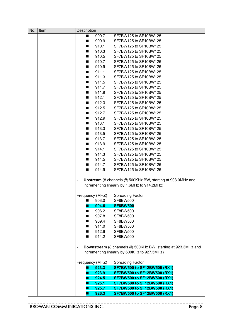| No. | Item | Description     |                 |                                                                                                                                       |
|-----|------|-----------------|-----------------|---------------------------------------------------------------------------------------------------------------------------------------|
|     |      | ■               | 909.7           | SF7BW125 to SF10BW125                                                                                                                 |
|     |      | ■               | 909.9           | SF7BW125 to SF10BW125                                                                                                                 |
|     |      | ■               | 910.1           | SF7BW125 to SF10BW125                                                                                                                 |
|     |      | п               | 910.3           | SF7BW125 to SF10BW125                                                                                                                 |
|     |      | ■               | 910.5           | SF7BW125 to SF10BW125                                                                                                                 |
|     |      | ■               | 910.7           | SF7BW125 to SF10BW125                                                                                                                 |
|     |      | ■               | 910.9           | SF7BW125 to SF10BW125                                                                                                                 |
|     |      | п               | 911.1           | SF7BW125 to SF10BW125                                                                                                                 |
|     |      | п               | 911.3           | SF7BW125 to SF10BW125                                                                                                                 |
|     |      |                 |                 |                                                                                                                                       |
|     |      | ■               | 911.5           | SF7BW125 to SF10BW125                                                                                                                 |
|     |      | ■               | 911.7           | SF7BW125 to SF10BW125                                                                                                                 |
|     |      | ■               | 911.9           | SF7BW125 to SF10BW125                                                                                                                 |
|     |      | ■               | 912.1           | SF7BW125 to SF10BW125                                                                                                                 |
|     |      | ■               | 912.3           | SF7BW125 to SF10BW125                                                                                                                 |
|     |      | ■               | 912.5           | SF7BW125 to SF10BW125                                                                                                                 |
|     |      | ■               | 912.7           | SF7BW125 to SF10BW125                                                                                                                 |
|     |      | ■               | 912.9           | SF7BW125 to SF10BW125                                                                                                                 |
|     |      | п               | 913.1           | SF7BW125 to SF10BW125                                                                                                                 |
|     |      | ■               | 913.3           | SF7BW125 to SF10BW125                                                                                                                 |
|     |      | ■               | 913.5           | SF7BW125 to SF10BW125                                                                                                                 |
|     |      | ■               | 913.7           | SF7BW125 to SF10BW125                                                                                                                 |
|     |      | ■               | 913.9           | SF7BW125 to SF10BW125                                                                                                                 |
|     |      | п               | 914.1           | SF7BW125 to SF10BW125                                                                                                                 |
|     |      | ■               | 914.3           | SF7BW125 to SF10BW125                                                                                                                 |
|     |      | ■               | 914.5           | SF7BW125 to SF10BW125                                                                                                                 |
|     |      | ■               | 914.7           | SF7BW125 to SF10BW125                                                                                                                 |
|     |      | ■               | 914.9           | SF7BW125 to SF10BW125                                                                                                                 |
|     |      |                 | Frequency (MHZ) | Upstream (8 channels @ 500KHz BW, starting at 903.0MHz and<br>incrementing linearly by 1.6MHz to 914.2MHz)<br><b>Spreading Factor</b> |
|     |      | ■               | 903.0           | <b>SF8BW500</b>                                                                                                                       |
|     |      |                 | 904.6           | <b>SF8BW500</b>                                                                                                                       |
|     |      |                 | 906.2           | <b>SF8BW500</b>                                                                                                                       |
|     |      |                 | 907.8           | <b>SF8BW500</b>                                                                                                                       |
|     |      | ■               | 909.4           | <b>SF8BW500</b>                                                                                                                       |
|     |      | п               | 911.0           | <b>SF8BW500</b>                                                                                                                       |
|     |      | ■               | 912.6           | <b>SF8BW500</b>                                                                                                                       |
|     |      | ■               | 914.2           | <b>SF8BW500</b>                                                                                                                       |
|     |      |                 |                 | Downstream (8 channels @ 500KHz BW, starting at 923.3MHz and<br>incrementing linearly by 600KHz to 927.5MHz)                          |
|     |      |                 |                 |                                                                                                                                       |
|     |      | Frequency (MHZ) |                 | <b>Spreading Factor</b>                                                                                                               |
|     |      | u               | 923.3           | <b>SF7BW500 to SF12BW500 (RX1)</b>                                                                                                    |
|     |      | u               | 923.9           | <b>SF7BW500 to SF12BW500 (RX1)</b>                                                                                                    |
|     |      | ┛               | 924.5           | <b>SF7BW500 to SF12BW500 (RX1)</b>                                                                                                    |
|     |      | K               | 925.1           | <b>SF7BW500 to SF12BW500 (RX1)</b>                                                                                                    |
|     |      |                 | 925.7           | <b>SF7BW500 to SF12BW500 (RX1)</b>                                                                                                    |
|     |      | п               | 926.3           | <b>SF7BW500 to SF12BW500 (RX1)</b>                                                                                                    |

<u>. . . . . . . . . . . .</u>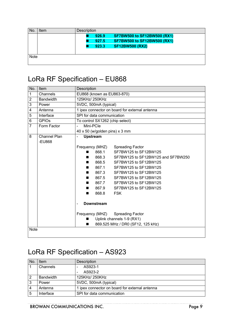| No   | Item | Description |       |                                    |  |
|------|------|-------------|-------|------------------------------------|--|
|      |      |             | 926.9 | <b>SF7BW500 to SF12BW500 (RX1)</b> |  |
|      |      |             | 927.5 | <b>SF7BW500 to SF12BW500 (RX1)</b> |  |
|      |      |             | 923.3 | <b>SF12BW500 (RX2)</b>             |  |
|      |      |             |       |                                    |  |
| Note |      |             |       |                                    |  |
|      |      |             |       |                                    |  |

### LoRa RF Specification – EU868

| No.            | Item                | Description                                      |  |  |  |
|----------------|---------------------|--------------------------------------------------|--|--|--|
| $\mathbf 1$    | Channels            | EU868 (known as EU863-870)                       |  |  |  |
| $\overline{2}$ | <b>Bandwidth</b>    | 125KHz/ 250KHz                                   |  |  |  |
| 3              | Power               | 5VDC, 500mA (typical)                            |  |  |  |
| 4              | Antenna             | 1 ipex connector on board for external antenna   |  |  |  |
| 5              | Interface           | SPI for data communication                       |  |  |  |
| 6              | <b>GPIOs</b>        | To control SX1262 (chip select)                  |  |  |  |
| $\overline{7}$ | Form Factor         | Mini-PCle<br>$\blacksquare$                      |  |  |  |
|                |                     | $40 \times 50$ (w/golden pins) x 3 mm            |  |  |  |
| 8              | <b>Channel Plan</b> | <b>Upstream</b><br>$\overline{a}$                |  |  |  |
|                | -EU868              |                                                  |  |  |  |
|                |                     | Frequency (MHZ)<br><b>Spreading Factor</b>       |  |  |  |
|                |                     | SF7BW125 to SF12BW125<br>868.1<br>■              |  |  |  |
|                |                     | 868.3<br>SF7BW125 to SF12BW125 and SF7BW250<br>■ |  |  |  |
|                |                     | 868.5<br>SF7BW125 to SF12BW125<br>■              |  |  |  |
|                |                     | 867.1<br>SF7BW125 to SF12BW125                   |  |  |  |
|                |                     | 867.3<br>SF7BW125 to SF12BW125<br>■              |  |  |  |
|                |                     | 867.5<br>SF7BW125 to SF12BW125<br>▬              |  |  |  |
|                |                     | SF7BW125 to SF12BW125<br>867.7<br>▬              |  |  |  |
|                |                     | 867.9<br>SF7BW125 to SF12BW125                   |  |  |  |
|                |                     | 868.8<br><b>FSK</b><br>■                         |  |  |  |
|                |                     | <b>Downstream</b>                                |  |  |  |
|                |                     |                                                  |  |  |  |
|                |                     | Frequency (MHZ) Spreading Factor                 |  |  |  |
|                |                     | Uplink channels 1-9 (RX1)                        |  |  |  |
|                |                     | 869.525 MHz / DR0 (SF12, 125 kHz)                |  |  |  |
|                |                     | <b>Note</b>                                      |  |  |  |

# LoRa RF Specification – AS923

| N <sub>o</sub> | Item             | Description                                    |  |
|----------------|------------------|------------------------------------------------|--|
|                | Channels         | AS923-1                                        |  |
|                |                  | AS923-2                                        |  |
| 2              | <b>Bandwidth</b> | 125KHz/ 250KHz                                 |  |
| 3              | Power            | 5VDC, 500mA (typical)                          |  |
|                | Antenna          | 1 ipex connector on board for external antenna |  |
| 5              | Interface        | SPI for data communication                     |  |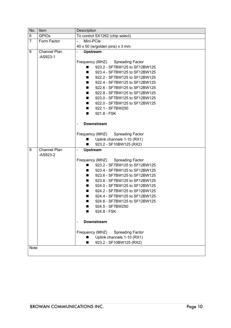| No.            | Item                       | Description                                  |  |  |
|----------------|----------------------------|----------------------------------------------|--|--|
| 6              | <b>GPIOs</b>               | To control SX1262 (chip select)              |  |  |
| $\overline{7}$ | Form Factor                | Mini-PCle<br>$\overline{\phantom{0}}$        |  |  |
|                |                            | 40 x 50 (w/golden pins) x 3 mm               |  |  |
| 8              | Channel Plan<br>$-AS923-1$ | <b>Upstream</b><br>$\blacksquare$            |  |  |
|                |                            | Frequency (MHZ) Spreading Factor             |  |  |
|                |                            | 923.2 - SF7BW125 to SF12BW125<br>■           |  |  |
|                |                            | 923.4 - SF7BW125 to SF12BW125<br>■           |  |  |
|                |                            | 922.2 - SF7BW125 to SF12BW125                |  |  |
|                |                            | 922.4 - SF7BW125 to SF12BW125<br>■           |  |  |
|                |                            | 922.6 - SF7BW125 to SF12BW125<br>■           |  |  |
|                |                            | 922.8 - SF7BW125 to SF12BW125<br>■           |  |  |
|                |                            | 923.0 - SF7BW125 to SF12BW125<br>■           |  |  |
|                |                            | 922.0 - SF7BW125 to SF12BW125                |  |  |
|                |                            | 922.1 - SF7BW250<br>$\blacksquare$           |  |  |
|                |                            | 921.8 - FSK<br>■                             |  |  |
|                |                            | <b>Downstream</b>                            |  |  |
|                |                            | Frequency (MHZ) Spreading Factor             |  |  |
|                |                            | Uplink channels 1-10 (RX1)<br>$\blacksquare$ |  |  |
|                |                            | 923.2 - SF10BW125 (RX2)<br>■                 |  |  |
| 9              | Channel Plan               | <b>Upstream</b><br>$\blacksquare$            |  |  |
|                | $-AS923-2$                 |                                              |  |  |
|                |                            | Frequency (MHZ) Spreading Factor             |  |  |
|                |                            | 923.2 - SF7BW125 to SF12BW125<br>■           |  |  |
|                |                            | 923.4 - SF7BW125 to SF12BW125<br>■           |  |  |
|                |                            | 923.6 - SF7BW125 to SF12BW125                |  |  |
|                |                            | 923.8 - SF7BW125 to SF12BW125                |  |  |
|                |                            | 924.0 - SF7BW125 to SF12BW125<br>■           |  |  |
|                |                            | 924.2 - SF7BW125 to SF12BW125<br>■           |  |  |
|                |                            | 924.4 - SF7BW125 to SF12BW125<br>■           |  |  |
|                |                            | 924.6 - SF7BW125 to SF12BW125                |  |  |
|                |                            | 924.5 - SF7BW250                             |  |  |
|                |                            | 924.8 - FSK<br>٠                             |  |  |
|                |                            | <b>Downstream</b>                            |  |  |
|                |                            | Frequency (MHZ)<br><b>Spreading Factor</b>   |  |  |
|                |                            | Uplink channels 1-10 (RX1)                   |  |  |
|                |                            | 923.2 - SF10BW125 (RX2)                      |  |  |
| <b>Note</b>    |                            |                                              |  |  |
|                |                            |                                              |  |  |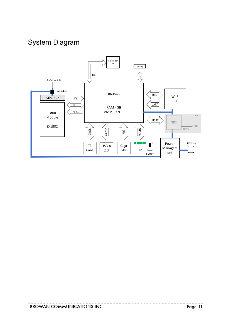## System Diagram